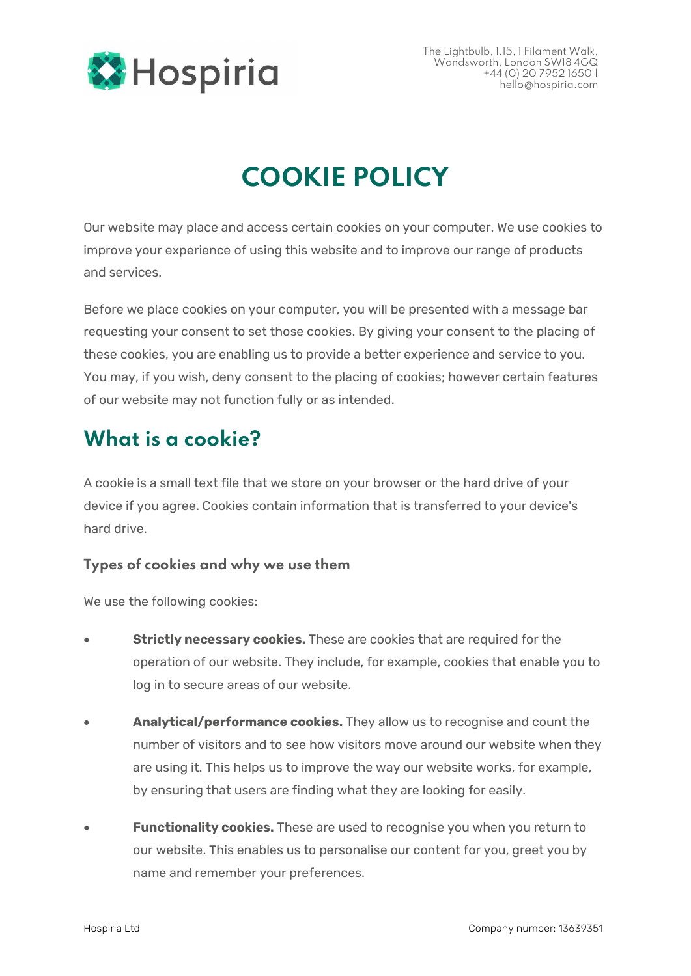

# COOKIE POLICY

Our website may place and access certain cookies on your computer. We use cookies to improve your experience of using this website and to improve our range of products and services.

Before we place cookies on your computer, you will be presented with a message bar requesting your consent to set those cookies. By giving your consent to the placing of these cookies, you are enabling us to provide a better experience and service to you. You may, if you wish, deny consent to the placing of cookies; however certain features of our website may not function fully or as intended.

#### What is a cookie?

A cookie is a small text file that we store on your browser or the hard drive of your device if you agree. Cookies contain information that is transferred to your device's hard drive.

#### Types of cookies and why we use them

We use the following cookies:

- Strictly necessary cookies. These are cookies that are required for the operation of our website. They include, for example, cookies that enable you to log in to secure areas of our website.
- Analytical/performance cookies. They allow us to recognise and count the number of visitors and to see how visitors move around our website when they are using it. This helps us to improve the way our website works, for example, by ensuring that users are finding what they are looking for easily.
- **Eunctionality cookies.** These are used to recognise you when you return to our website. This enables us to personalise our content for you, greet you by name and remember your preferences.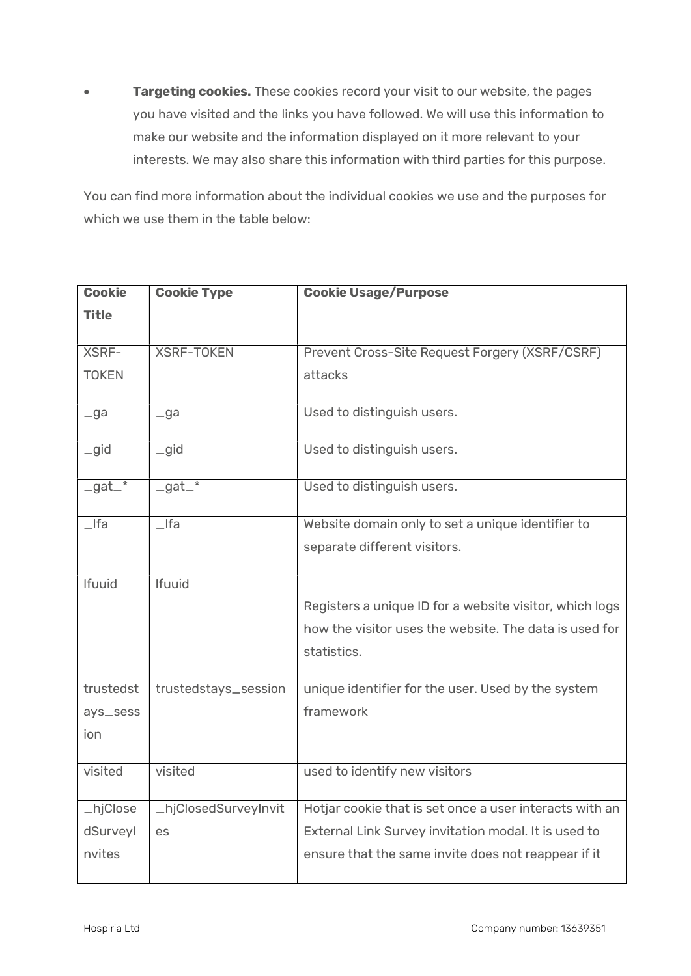**Targeting cookies.** These cookies record your visit to our website, the pages you have visited and the links you have followed. We will use this information to make our website and the information displayed on it more relevant to your interests. We may also share this information with third parties for this purpose.

You can find more information about the individual cookies we use and the purposes for which we use them in the table below:

| <b>Cookie</b>       | <b>Cookie Type</b>   | <b>Cookie Usage/Purpose</b>                             |
|---------------------|----------------------|---------------------------------------------------------|
| <b>Title</b>        |                      |                                                         |
|                     |                      |                                                         |
| XSRF-               | <b>XSRF-TOKEN</b>    | Prevent Cross-Site Request Forgery (XSRF/CSRF)          |
| <b>TOKEN</b>        |                      | attacks                                                 |
|                     |                      |                                                         |
| $-ga$               | $-ga$                | Used to distinguish users.                              |
| gid                 | $_{\text{q}}$        | Used to distinguish users.                              |
|                     |                      |                                                         |
| $-gat$ <sup>*</sup> | $-gat_$              | Used to distinguish users.                              |
| $_{\text{Ifa}}$     | $_{\mathsf{I}}$ Ifa  | Website domain only to set a unique identifier to       |
|                     |                      | separate different visitors.                            |
|                     |                      |                                                         |
| <b>Ifuuid</b>       | <b>Ifuuid</b>        |                                                         |
|                     |                      | Registers a unique ID for a website visitor, which logs |
|                     |                      | how the visitor uses the website. The data is used for  |
|                     |                      | statistics.                                             |
|                     |                      |                                                         |
| trustedst           | trustedstays_session | unique identifier for the user. Used by the system      |
| ays_sess            |                      | framework                                               |
| ion                 |                      |                                                         |
|                     |                      |                                                         |
| visited             | visited              | used to identify new visitors                           |
|                     |                      |                                                         |
| _hjClose            | _hjClosedSurveyInvit | Hotjar cookie that is set once a user interacts with an |
| dSurveyl            | es                   | External Link Survey invitation modal. It is used to    |
| nvites              |                      | ensure that the same invite does not reappear if it     |
|                     |                      |                                                         |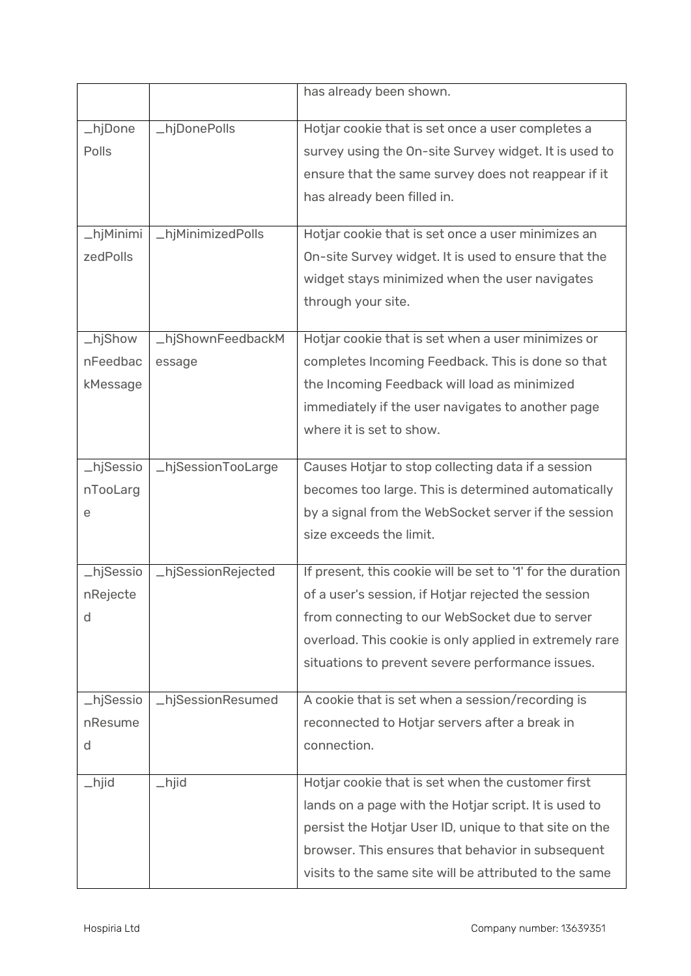|           |                    | has already been shown.                                     |
|-----------|--------------------|-------------------------------------------------------------|
| _hjDone   | _hjDonePolls       | Hotjar cookie that is set once a user completes a           |
| Polls     |                    | survey using the On-site Survey widget. It is used to       |
|           |                    | ensure that the same survey does not reappear if it         |
|           |                    | has already been filled in.                                 |
|           |                    |                                                             |
| _hjMinimi | _hjMinimizedPolls  | Hotjar cookie that is set once a user minimizes an          |
| zedPolls  |                    | On-site Survey widget. It is used to ensure that the        |
|           |                    | widget stays minimized when the user navigates              |
|           |                    | through your site.                                          |
| _hjShow   | _hjShownFeedbackM  | Hotjar cookie that is set when a user minimizes or          |
| nFeedbac  | essage             | completes Incoming Feedback. This is done so that           |
| kMessage  |                    | the Incoming Feedback will load as minimized                |
|           |                    | immediately if the user navigates to another page           |
|           |                    | where it is set to show.                                    |
|           |                    |                                                             |
| _hjSessio | _hjSessionTooLarge | Causes Hotjar to stop collecting data if a session          |
| nTooLarg  |                    | becomes too large. This is determined automatically         |
| е         |                    | by a signal from the WebSocket server if the session        |
|           |                    | size exceeds the limit.                                     |
| _hjSessio | _hjSessionRejected | If present, this cookie will be set to '1' for the duration |
| nRejecte  |                    | of a user's session, if Hotjar rejected the session         |
| d         |                    | from connecting to our WebSocket due to server              |
|           |                    | overload. This cookie is only applied in extremely rare     |
|           |                    | situations to prevent severe performance issues.            |
| _hjSessio | _hjSessionResumed  | A cookie that is set when a session/recording is            |
| nResume   |                    | reconnected to Hotjar servers after a break in              |
| d         |                    | connection.                                                 |
|           |                    |                                                             |
| $\_h$ jid | $\_h$ jid          | Hotjar cookie that is set when the customer first           |
|           |                    | lands on a page with the Hotjar script. It is used to       |
|           |                    | persist the Hotjar User ID, unique to that site on the      |
|           |                    | browser. This ensures that behavior in subsequent           |
|           |                    | visits to the same site will be attributed to the same      |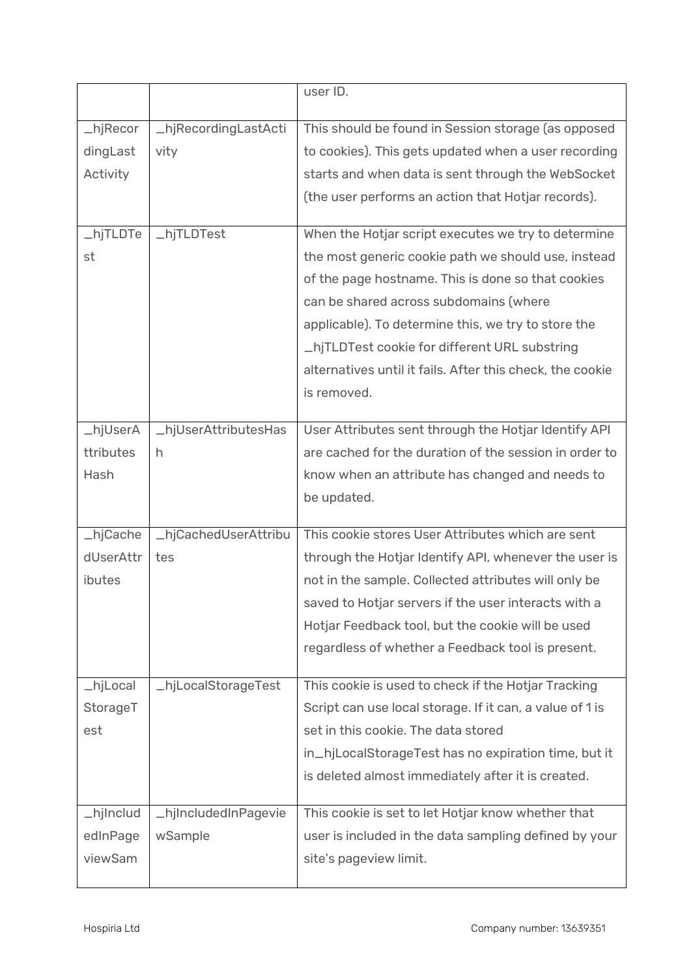|                       |                      | user ID.                                                  |
|-----------------------|----------------------|-----------------------------------------------------------|
|                       |                      |                                                           |
| $_{\text{-}}$ hjRecor | LhjRecordingLastActi | This should be found in Session storage (as opposed       |
| dingLast              | vity                 | to cookies). This gets updated when a user recording      |
| Activity              |                      | starts and when data is sent through the WebSocket        |
|                       |                      | (the user performs an action that Hotjar records).        |
| _hjTLDTe              | _hjTLDTest           | When the Hotjar script executes we try to determine       |
| st                    |                      | the most generic cookie path we should use, instead       |
|                       |                      | of the page hostname. This is done so that cookies        |
|                       |                      | can be shared across subdomains (where                    |
|                       |                      | applicable). To determine this, we try to store the       |
|                       |                      | _hjTLDTest cookie for different URL substring             |
|                       |                      | alternatives until it fails. After this check, the cookie |
|                       |                      | is removed.                                               |
|                       |                      |                                                           |
| _hjUserA              | LhjUserAttributesHas | User Attributes sent through the Hotjar Identify API      |
| ttributes             | h                    | are cached for the duration of the session in order to    |
| Hash                  |                      | know when an attribute has changed and needs to           |
|                       |                      | be updated.                                               |
| _hjCache              | _hjCachedUserAttribu | This cookie stores User Attributes which are sent         |
| dUserAttr             | tes                  | through the Hotjar Identify API, whenever the user is     |
| ibutes                |                      | not in the sample. Collected attributes will only be      |
|                       |                      | saved to Hotjar servers if the user interacts with a      |
|                       |                      | Hotjar Feedback tool, but the cookie will be used         |
|                       |                      | regardless of whether a Feedback tool is present.         |
|                       |                      |                                                           |
| _hjLocal              | _hjLocalStorageTest  | This cookie is used to check if the Hotjar Tracking       |
| StorageT              |                      | Script can use local storage. If it can, a value of 1 is  |
| est                   |                      | set in this cookie. The data stored                       |
|                       |                      | in_hjLocalStorageTest has no expiration time, but it      |
|                       |                      | is deleted almost immediately after it is created.        |
|                       |                      |                                                           |
| _hjInclud             | _hjIncludedInPagevie | This cookie is set to let Hotjar know whether that        |
| edInPage              | wSample              | user is included in the data sampling defined by your     |
| viewSam               |                      | site's pageview limit.                                    |
|                       |                      |                                                           |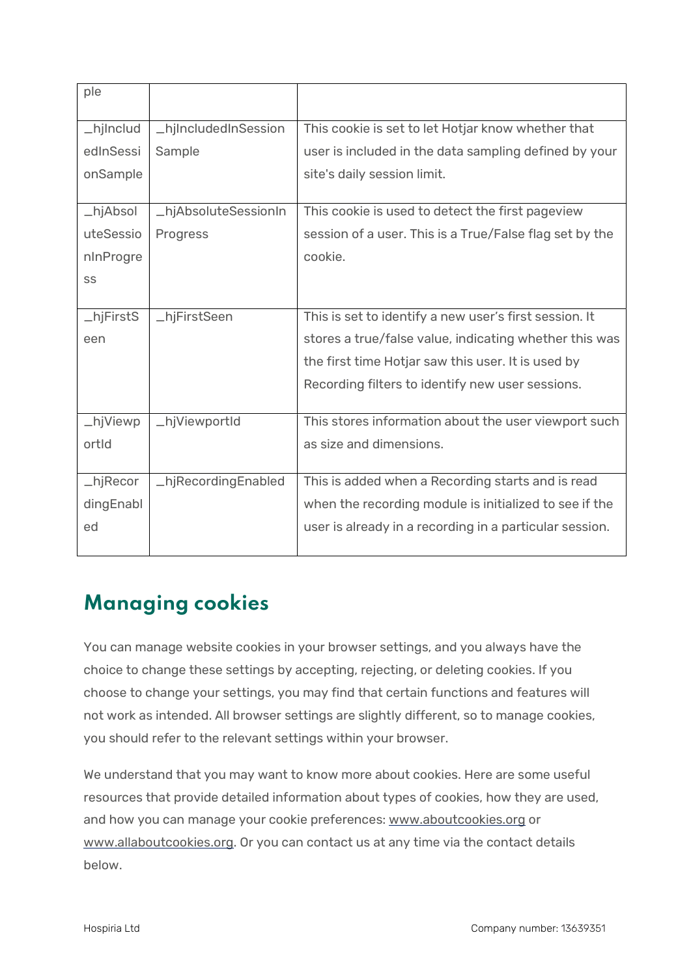| ple                           |                      |                                                         |
|-------------------------------|----------------------|---------------------------------------------------------|
| _hjInclud                     | _hjIncludedInSession | This cookie is set to let Hotjar know whether that      |
| edInSessi                     | Sample               | user is included in the data sampling defined by your   |
| onSample                      |                      | site's daily session limit.                             |
|                               |                      |                                                         |
| $_\text{h}$ j $_\text{Absol}$ | _hjAbsoluteSessionIn | This cookie is used to detect the first pageview        |
| uteSessio                     | Progress             | session of a user. This is a True/False flag set by the |
| nInProgre                     |                      | cookie.                                                 |
| SS                            |                      |                                                         |
|                               |                      |                                                         |
| _hjFirstS                     | _hjFirstSeen         | This is set to identify a new user's first session. It  |
| een                           |                      | stores a true/false value, indicating whether this was  |
|                               |                      | the first time Hotjar saw this user. It is used by      |
|                               |                      | Recording filters to identify new user sessions.        |
|                               |                      |                                                         |
| _hjViewp                      | _hjViewportId        | This stores information about the user viewport such    |
| ortid                         |                      | as size and dimensions.                                 |
|                               |                      |                                                         |
| $_{\text{-}}$ hjRecor         | _hjRecordingEnabled  | This is added when a Recording starts and is read       |
| dingEnabl                     |                      | when the recording module is initialized to see if the  |
| ed                            |                      | user is already in a recording in a particular session. |
|                               |                      |                                                         |

### Managing cookies

You can manage website cookies in your browser settings, and you always have the choice to change these settings by accepting, rejecting, or deleting cookies. If you choose to change your settings, you may find that certain functions and features will not work as intended. All browser settings are slightly different, so to manage cookies, you should refer to the relevant settings within your browser.

We understand that you may want to know more about cookies. Here are some useful resources that provide detailed information about types of cookies, how they are used, and how you can manage your cookie preferences: www.aboutcookies.org or www.allaboutcookies.org. Or you can contact us at any time via the contact details below.